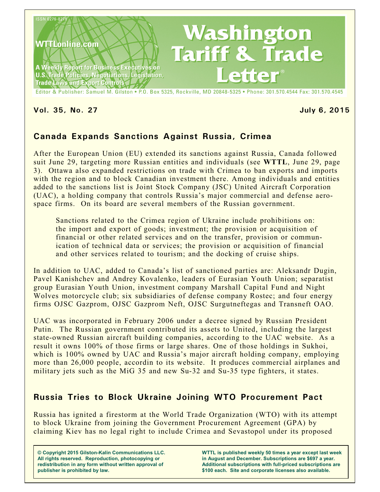

**Vol. 35, No. 27 July 6, 2015**

# **Canada Expands Sanctions Against Russia, Crimea**

After the European Union (EU) extended its sanctions against Russia, Canada followed suit June 29, targeting more Russian entities and individuals (see **WTTL**, June 29, page 3). Ottawa also expanded restrictions on trade with Crimea to ban exports and imports with the region and to block Canadian investment there. Among individuals and entities added to the sanctions list is Joint Stock Company (JSC) United Aircraft Corporation (UAC), a holding company that controls Russia's major commercial and defense aerospace firms. On its board are several members of the Russian government.

Sanctions related to the Crimea region of Ukraine include prohibitions on: the import and export of goods; investment; the provision or acquisition of financial or other related services and on the transfer, provision or communication of technical data or services; the provision or acquisition of financial and other services related to tourism; and the docking of cruise ships.

In addition to UAC, added to Canada's list of sanctioned parties are: Aleksandr Dugin, Pavel Kanishchev and Andrey Kovalenko, leaders of Eurasian Youth Union; separatist group Eurasian Youth Union, investment company Marshall Capital Fund and Night Wolves motorcycle club; six subsidiaries of defense company Rostec; and four energy firms OJSC Gazprom, OJSC Gazprom Neft, OJSC Surgutneftegas and Transneft OAO.

UAC was incorporated in February 2006 under a decree signed by Russian President Putin. The Russian government contributed its assets to United, including the largest state-owned Russian aircraft building companies, according to the UAC website. As a result it owns 100% of those firms or large shares. One of those holdings in Sukhoi, which is 100% owned by UAC and Russia's major aircraft holding company, employing more than 26,000 people, accordin to its website. It produces commercial airplanes and military jets such as the MiG 35 and new Su-32 and Su-35 type fighters, it states.

# **Russia Tries to Block Ukraine Joining WTO Procurement Pact**

Russia has ignited a firestorm at the World Trade Organization (WTO) with its attempt to block Ukraine from joining the Government Procurement Agreement (GPA) by claiming Kiev has no legal right to include Crimea and Sevastopol under its proposed

**© Copyright 2015 Gilston-Kalin Communications LLC. All rights reserved. Reproduction, photocopying or redistribution in any form without written approval of publisher is prohibited by law.** 

**WTTL is published weekly 50 times a year except last week in August and December. Subscriptions are \$697 a year. Additional subscriptions with full-priced subscriptions are \$100 each. Site and corporate licenses also available.**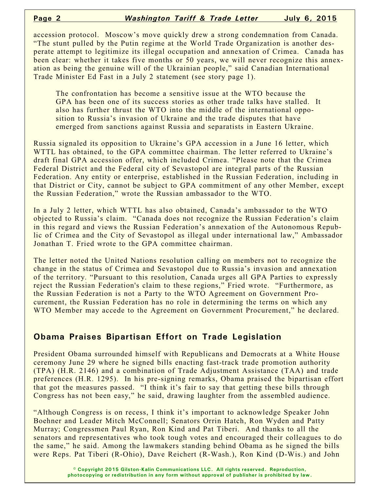accession protocol. Moscow's move quickly drew a strong condemnation from Canada. "The stunt pulled by the Putin regime at the World Trade Organization is another desperate attempt to legitimize its illegal occupation and annexation of Crimea. Canada has been clear: whether it takes five months or 50 years, we will never recognize this annexation as being the genuine will of the Ukrainian people," said Canadian International Trade Minister Ed Fast in a July 2 statement (see story page 1).

The confrontation has become a sensitive issue at the WTO because the GPA has been one of its success stories as other trade talks have stalled. It also has further thrust the WTO into the middle of the international opposition to Russia's invasion of Ukraine and the trade disputes that have emerged from sanctions against Russia and separatists in Eastern Ukraine.

Russia signaled its opposition to Ukraine's GPA accession in a June 16 letter, which WTTL has obtained, to the GPA committee chairman. The letter referred to Ukraine's draft final GPA accession offer, which included Crimea. "Please note that the Crimea Federal District and the Federal city of Sevastopol are integral parts of the Russian Federation. Any entity or enterprise, established in the Russian Federation, including in that District or City, cannot be subject to GPA commitment of any other Member, except the Russian Federation," wrote the Russian ambassador to the WTO.

In a July 2 letter, which WTTL has also obtained, Canada's ambassador to the WTO objected to Russia's claim. "Canada does not recognize the Russian Federation's claim in this regard and views the Russian Federation's annexation of the Autonomous Republic of Crimea and the City of Sevastopol as illegal under international law," Ambassador Jonathan T. Fried wrote to the GPA committee chairman.

The letter noted the United Nations resolution calling on members not to recognize the change in the status of Crimea and Sevastopol due to Russia's invasion and annexation of the territory. "Pursuant to this resolution, Canada urges all GPA Parties to expressly reject the Russian Federation's claim to these regions," Fried wrote. "Furthermore, as the Russian Federation is not a Party to the WTO Agreement on Government Procurement, the Russian Federation has no role in determining the terms on which any WTO Member may accede to the Agreement on Government Procurement," he declared.

## **Obama Praises Bipartisan Effort on Trade Legislation**

President Obama surrounded himself with Republicans and Democrats at a White House ceremony June 29 where he signed bills enacting fast-track trade promotion authority (TPA) (H.R. 2146) and a combination of Trade Adjustment Assistance (TAA) and trade preferences (H.R. 1295). In his pre-signing remarks, Obama praised the bipartisan effort that got the measures passed. "I think it's fair to say that getting these bills through Congress has not been easy," he said, drawing laughter from the assembled audience.

"Although Congress is on recess, I think it's important to acknowledge Speaker John Boehner and Leader Mitch McConnell; Senators Orrin Hatch, Ron Wyden and Patty Murray; Congressmen Paul Ryan, Ron Kind and Pat Tiberi. And thanks to all the senators and representatives who took tough votes and encouraged their colleagues to do the same," he said. Among the lawmakers standing behind Obama as he signed the bills were Reps. Pat Tiberi (R-Ohio), Dave Reichert (R-Wash.), Ron Kind (D-Wis.) and John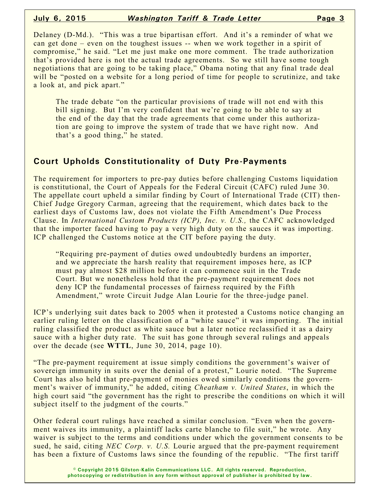Delaney (D-Md.). "This was a true bipartisan effort. And it's a reminder of what we can get done – even on the toughest issues -- when we work together in a spirit of compromise," he said. "Let me just make one more comment. The trade authorization that's provided here is not the actual trade agreements. So we still have some tough negotiations that are going to be taking place," Obama noting that any final trade deal will be "posted on a website for a long period of time for people to scrutinize, and take a look at, and pick apart."

The trade debate "on the particular provisions of trade will not end with this bill signing. But I'm very confident that we're going to be able to say at the end of the day that the trade agreements that come under this authorization are going to improve the system of trade that we have right now. And that's a good thing," he stated.

## **Court Upholds Constitutionality of Duty Pre-Payments**

The requirement for importers to pre-pay duties before challenging Customs liquidation is constitutional, the Court of Appeals for the Federal Circuit (CAFC) ruled June 30. The appellate court upheld a similar finding by Court of International Trade (CIT) then-Chief Judge Gregory Carman, agreeing that the requirement, which dates back to the earliest days of Customs law, does not violate the Fifth Amendment's Due Process Clause. In *International Custom Products (ICP), Inc. v. U.S.,* the CAFC acknowledged that the importer faced having to pay a very high duty on the sauces it was importing. ICP challenged the Customs notice at the CIT before paying the duty.

"Requiring pre-payment of duties owed undoubtedly burdens an importer, and we appreciate the harsh reality that requirement imposes here, as ICP must pay almost \$28 million before it can commence suit in the Trade Court. But we nonetheless hold that the pre-payment requirement does not deny ICP the fundamental processes of fairness required by the Fifth Amendment," wrote Circuit Judge Alan Lourie for the three-judge panel.

ICP's underlying suit dates back to 2005 when it protested a Customs notice changing an earlier ruling letter on the classification of a "white sauce" it was importing. The initial ruling classified the product as white sauce but a later notice reclassified it as a dairy sauce with a higher duty rate. The suit has gone through several rulings and appeals over the decade (see **WTTL**, June 30, 2014, page 10).

"The pre-payment requirement at issue simply conditions the government's waiver of sovereign immunity in suits over the denial of a protest," Lourie noted. "The Supreme Court has also held that pre-payment of monies owed similarly conditions the government's waiver of immunity," he added, citing *Cheatham v. United States*, in which the high court said "the government has the right to prescribe the conditions on which it will subject itself to the judgment of the courts."

Other federal court rulings have reached a similar conclusion. "Even when the government waives its immunity, a plaintiff lacks carte blanche to file suit," he wrote. Any waiver is subject to the terms and conditions under which the government consents to be sued, he said, citing *NEC Corp. v. U.S.* Lourie argued that the pre-payment requirement has been a fixture of Customs laws since the founding of the republic. "The first tariff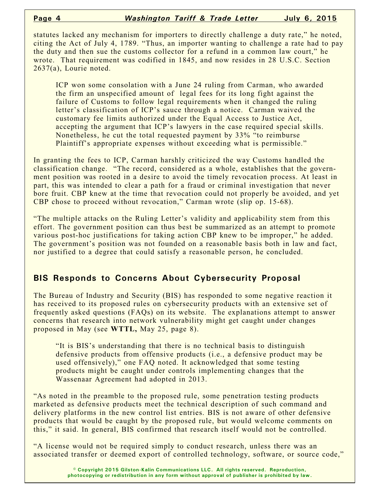statutes lacked any mechanism for importers to directly challenge a duty rate," he noted, citing the Act of July 4, 1789. "Thus, an importer wanting to challenge a rate had to pay the duty and then sue the customs collector for a refund in a common law court," he wrote. That requirement was codified in 1845, and now resides in 28 U.S.C. Section 2637(a), Lourie noted.

ICP won some consolation with a June 24 ruling from Carman, who awarded the firm an unspecified amount of legal fees for its long fight against the failure of Customs to follow legal requirements when it changed the ruling letter's classification of ICP's sauce through a notice. Carman waived the customary fee limits authorized under the Equal Access to Justice Act, accepting the argument that ICP's lawyers in the case required special skills. Nonetheless, he cut the total requested payment by 33% "to reimburse Plaintiff's appropriate expenses without exceeding what is permissible."

In granting the fees to ICP, Carman harshly criticized the way Customs handled the classification change. "The record, considered as a whole, establishes that the government position was rooted in a desire to avoid the timely revocation process. At least in part, this was intended to clear a path for a fraud or criminal investigation that never bore fruit. CBP knew at the time that revocation could not properly be avoided, and yet CBP chose to proceed without revocation," Carman wrote (slip op. 15-68).

"The multiple attacks on the Ruling Letter's validity and applicability stem from this effort. The government position can thus best be summarized as an attempt to promote various post-hoc justifications for taking action CBP knew to be improper," he added. The government's position was not founded on a reasonable basis both in law and fact, nor justified to a degree that could satisfy a reasonable person, he concluded.

## **BIS Responds to Concerns About Cybersecurity Proposal**

The Bureau of Industry and Security (BIS) has responded to some negative reaction it has received to its proposed rules on cybersecurity products with an extensive set of frequently asked questions (FAQs) on its website. The explanations attempt to answer concerns that research into network vulnerability might get caught under changes proposed in May (see **WTTL,** May 25, page 8).

"It is BIS's understanding that there is no technical basis to distinguish defensive products from offensive products (i.e., a defensive product may be used offensively)," one FAQ noted. It acknowledged that some testing products might be caught under controls implementing changes that the Wassenaar Agreement had adopted in 2013.

"As noted in the preamble to the proposed rule, some penetration testing products marketed as defensive products meet the technical description of such command and delivery platforms in the new control list entries. BIS is not aware of other defensive products that would be caught by the proposed rule, but would welcome comments on this," it said. In general, BIS confirmed that research itself would not be controlled.

"A license would not be required simply to conduct research, unless there was an associated transfer or deemed export of controlled technology, software, or source code,"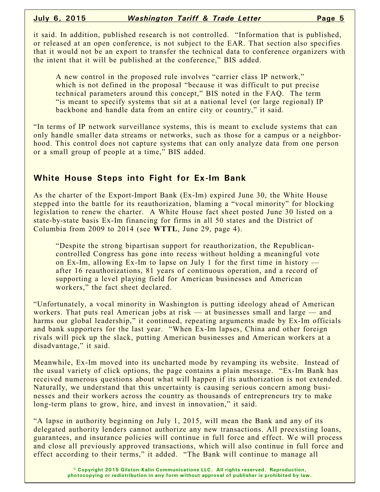it said. In addition, published research is not controlled. "Information that is published, or released at an open conference, is not subject to the EAR. That section also specifies that it would not be an export to transfer the technical data to conference organizers with the intent that it will be published at the conference," BIS added.

A new control in the proposed rule involves "carrier class IP network," which is not defined in the proposal "because it was difficult to put precise technical parameters around this concept," BIS noted in the FAQ. The term "is meant to specify systems that sit at a national level (or large regional) IP backbone and handle data from an entire city or country," it said.

"In terms of IP network surveillance systems, this is meant to exclude systems that can only handle smaller data streams or networks, such as those for a campus or a neighborhood. This control does not capture systems that can only analyze data from one person or a small group of people at a time," BIS added.

#### **White House Steps into Fight for Ex-Im Bank**

As the charter of the Export-Import Bank (Ex-Im) expired June 30, the White House stepped into the battle for its reauthorization, blaming a "vocal minority" for blocking legislation to renew the charter. A White House fact sheet posted June 30 listed on a state-by-state basis Ex-Im financing for firms in all 50 states and the District of Columbia from 2009 to 2014 (see **WTTL**, June 29, page 4).

"Despite the strong bipartisan support for reauthorization, the Republicancontrolled Congress has gone into recess without holding a meaningful vote on Ex-Im, allowing Ex-Im to lapse on July 1 for the first time in history after 16 reauthorizations, 81 years of continuous operation, and a record of supporting a level playing field for American businesses and American workers," the fact sheet declared.

"Unfortunately, a vocal minority in Washington is putting ideology ahead of American workers. That puts real American jobs at risk — at businesses small and large — and harms our global leadership," it continued, repeating arguments made by Ex-Im officials and bank supporters for the last year. "When Ex-Im lapses, China and other foreign rivals will pick up the slack, putting American businesses and American workers at a disadvantage," it said.

Meanwhile, Ex-Im moved into its uncharted mode by revamping its website. Instead of the usual variety of click options, the page contains a plain message. "Ex-Im Bank has received numerous questions about what will happen if its authorization is not extended. Naturally, we understand that this uncertainty is causing serious concern among businesses and their workers across the country as thousands of entrepreneurs try to make long-term plans to grow, hire, and invest in innovation," it said.

"A lapse in authority beginning on July 1, 2015, will mean the Bank and any of its delegated authority lenders cannot authorize any new transactions. All preexisting loans, guarantees, and insurance policies will continue in full force and effect. We will process and close all previously approved transactions, which will also continue in full force and effect according to their terms," it added. "The Bank will continue to manage all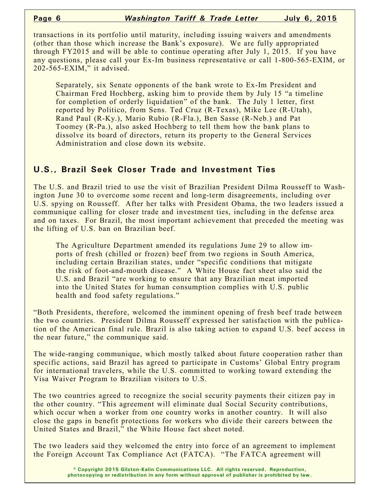transactions in its portfolio until maturity, including issuing waivers and amendments (other than those which increase the Bank's exposure). We are fully appropriated through FY2015 and will be able to continue operating after July 1, 2015. If you have any questions, please call your Ex-Im business representative or call 1-800-565-EXIM, or 202-565-EXIM," it advised.

Separately, six Senate opponents of the bank wrote to Ex-Im President and Chairman Fred Hochberg, asking him to provide them by July 15 "a timeline for completion of orderly liquidation" of the bank. The July 1 letter, first reported by Politico, from Sens. Ted Cruz (R-Texas), Mike Lee (R-Utah), Rand Paul (R-Ky.), Mario Rubio (R-Fla.), Ben Sasse (R-Neb.) and Pat Toomey (R-Pa.), also asked Hochberg to tell them how the bank plans to dissolve its board of directors, return its property to the General Services Administration and close down its website.

## **U.S., Brazil Seek Closer Trade and Investment Ties**

The U.S. and Brazil tried to use the visit of Brazilian President Dilma Rousseff to Washington June 30 to overcome some recent and long-term disagreements, including over U.S. spying on Rousseff. After her talks with President Obama, the two leaders issued a communique calling for closer trade and investment ties, including in the defense area and on taxes. For Brazil, the most important achievement that preceded the meeting was the lifting of U.S. ban on Brazilian beef.

The Agriculture Department amended its regulations June 29 to allow imports of fresh (chilled or frozen) beef from two regions in South America, including certain Brazilian states, under "specific conditions that mitigate the risk of foot-and-mouth disease." A White House fact sheet also said the U.S. and Brazil "are working to ensure that any Brazilian meat imported into the United States for human consumption complies with U.S. public health and food safety regulations."

"Both Presidents, therefore, welcomed the imminent opening of fresh beef trade between the two countries. President Dilma Rousseff expressed her satisfaction with the publication of the American final rule. Brazil is also taking action to expand U.S. beef access in the near future," the communique said.

The wide-ranging communique, which mostly talked about future cooperation rather than specific actions, said Brazil has agreed to participate in Customs' Global Entry program for international travelers, while the U.S. committed to working toward extending the Visa Waiver Program to Brazilian visitors to U.S.

The two countries agreed to recognize the social security payments their citizen pay in the other country. "This agreement will eliminate dual Social Security contributions, which occur when a worker from one country works in another country. It will also close the gaps in benefit protections for workers who divide their careers between the United States and Brazil," the White House fact sheet noted.

The two leaders said they welcomed the entry into force of an agreement to implement the Foreign Account Tax Compliance Act (FATCA). "The FATCA agreement will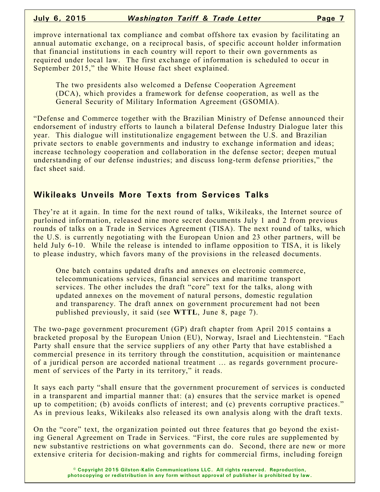improve international tax compliance and combat offshore tax evasion by facilitating an annual automatic exchange, on a reciprocal basis, of specific account holder information that financial institutions in each country will report to their own governments as required under local law. The first exchange of information is scheduled to occur in September 2015," the White House fact sheet explained.

The two presidents also welcomed a Defense Cooperation Agreement (DCA), which provides a framework for defense cooperation, as well as the General Security of Military Information Agreement (GSOMIA).

"Defense and Commerce together with the Brazilian Ministry of Defense announced their endorsement of industry efforts to launch a bilateral Defense Industry Dialogue later this year. This dialogue will institutionalize engagement between the U.S. and Brazilian private sectors to enable governments and industry to exchange information and ideas; increase technology cooperation and collaboration in the defense sector; deepen mutual understanding of our defense industries; and discuss long-term defense priorities," the fact sheet said.

## **Wikileaks Unveils More Texts from Services Talks**

They're at it again. In time for the next round of talks, Wikileaks, the Internet source of purloined information, released nine more secret documents July 1 and 2 from previous rounds of talks on a Trade in Services Agreement (TISA). The next round of talks, which the U.S. is currently negotiating with the European Union and 23 other partners, will be held July 6-10. While the release is intended to inflame opposition to TISA, it is likely to please industry, which favors many of the provisions in the released documents.

One batch contains updated drafts and annexes on electronic commerce, telecommunications services, financial services and maritime transport services. The other includes the draft "core" text for the talks, along with updated annexes on the movement of natural persons, domestic regulation and transparency. The draft annex on government procurement had not been published previously, it said (see **WTTL**, June 8, page 7).

The two-page government procurement (GP) draft chapter from April 2015 contains a bracketed proposal by the European Union (EU), Norway, Israel and Liechtenstein. "Each Party shall ensure that the service suppliers of any other Party that have established a commercial presence in its territory through the constitution, acquisition or maintenance of a juridical person are accorded national treatment … as regards government procurement of services of the Party in its territory," it reads.

It says each party "shall ensure that the government procurement of services is conducted in a transparent and impartial manner that: (a) ensures that the service market is opened up to competition; (b) avoids conflicts of interest; and (c) prevents corruptive practices." As in previous leaks, Wikileaks also released its own analysis along with the draft texts.

On the "core" text, the organization pointed out three features that go beyond the existing General Agreement on Trade in Services. "First, the core rules are supplemented by new substantive restrictions on what governments can do. Second, there are new or more extensive criteria for decision-making and rights for commercial firms, including foreign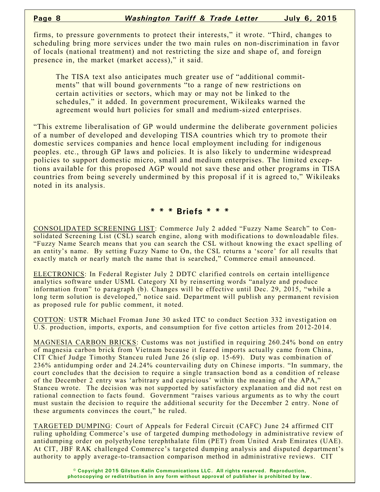firms, to pressure governments to protect their interests," it wrote. "Third, changes to scheduling bring more services under the two main rules on non-discrimination in favor of locals (national treatment) and not restricting the size and shape of, and foreign presence in, the market (market access)," it said.

The TISA text also anticipates much greater use of "additional commitments" that will bound governments "to a range of new restrictions on certain activities or sectors, which may or may not be linked to the schedules," it added. In government procurement, Wikileaks warned the agreement would hurt policies for small and medium-sized enterprises.

"This extreme liberalisation of GP would undermine the deliberate government policies of a number of developed and developing TISA countries which try to promote their domestic services companies and hence local employment including for indigenous peoples. etc., through GP laws and policies. It is also likely to undermine widespread policies to support domestic micro, small and medium enterprises. The limited exceptions available for this proposed AGP would not save these and other programs in TISA countries from being severely undermined by this proposal if it is agreed to," Wikileaks noted in its analysis.

#### **\* \* \* Briefs \* \* \***

CONSOLIDATED SCREENING LIST: Commerce July 2 added "Fuzzy Name Search" to Consolidated Screening List (CSL) search engine, along with modifications to downloadable files. "Fuzzy Name Search means that you can search the CSL without knowing the exact spelling of an entity's name. By setting Fuzzy Name to On, the CSL returns a 'score' for all results that exactly match or nearly match the name that is searched," Commerce email announced.

ELECTRONICS: In Federal Register July 2 DDTC clarified controls on certain intelligence analytics software under USML Category XI by reinserting words "analyze and produce information from" to paragraph (b). Changes will be effective until Dec. 29, 2015, "while a long term solution is developed," notice said. Department will publish any permanent revision as proposed rule for public comment, it noted.

COTTON: USTR Michael Froman June 30 asked ITC to conduct Section 332 investigation on U.S. production, imports, exports, and consumption for five cotton articles from 2012-2014.

MAGNESIA CARBON BRICKS: Customs was not justified in requiring 260.24% bond on entry of magnesia carbon brick from Vietnam because it feared imports actually came from China, CIT Chief Judge Timothy Stanceu ruled June 26 (slip op. 15-69). Duty was combination of 236% antidumping order and 24.24% countervailing duty on Chinese imports. "In summary, the court concludes that the decision to require a single transaction bond as a condition of release of the December 2 entry was 'arbitrary and capricious' within the meaning of the APA," Stanceu wrote. The decision was not supported by satisfactory explanation and did not rest on rational connection to facts found. Government "raises various arguments as to why the court must sustain the decision to require the additional security for the December 2 entry. None of these arguments convinces the court," he ruled.

TARGETED DUMPING: Court of Appeals for Federal Circuit (CAFC) June 24 affirmed CIT ruling upholding Commerce's use of targeted dumping methodology in administrative review of antidumping order on polyethylene terephthalate film (PET) from United Arab Emirates (UAE). At CIT, JBF RAK challenged Commerce's targeted dumping analysis and disputed department's authority to apply average-to-transaction comparison method in administrative reviews. CIT